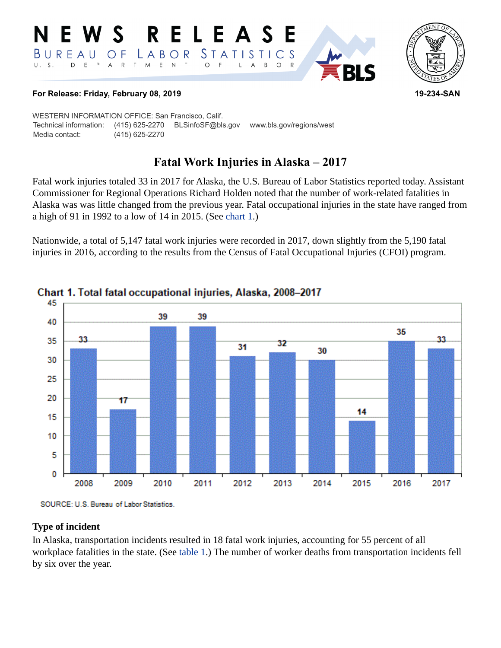#### **RELEASE** E W S *STATISTICS* LABOR BUREAU  $\overline{O}$  F D E P A R T M E N T  $\circ$  $U. S.$  $\overline{F}$  $\overline{A}$  $B$  $\circ$  $\mathsf{R}$ L



**RI S** 

#### **For Release: Friday, February 08, 2019 19-234-SAN**

WESTERN INFORMATION OFFICE: San Francisco, Calif. Technical information: (415) 625-2270 BLSinfoSF@bls.gov www.bls.gov/regions/west Media contact: (415) 625-2270

# **Fatal Work Injuries in Alaska – 2017**

Fatal work injuries totaled 33 in 2017 for Alaska, the U.S. Bureau of Labor Statistics reported today. Assistant Commissioner for Regional Operations Richard Holden noted that the number of work-related fatalities in Alaska was was little changed from the previous year. Fatal occupational injuries in the state have ranged from a high of 91 in 1992 to a low of 14 in 2015. (See [chart 1.](#page-0-0))

Nationwide, a total of 5,147 fatal work injuries were recorded in 2017, down slightly from the 5,190 fatal injuries in 2016, according to the results from the Census of Fatal Occupational Injuries (CFOI) program.



## <span id="page-0-0"></span>Chart 1. Total fatal occupational injuries, Alaska, 2008-2017

SOURCE: U.S. Bureau of Labor Statistics.

#### **Type of incident**

In Alaska, transportation incidents resulted in 18 fatal work injuries, accounting for 55 percent of all workplace fatalities in the state. (See [table 1](#page-3-0).) The number of worker deaths from transportation incidents fell by six over the year.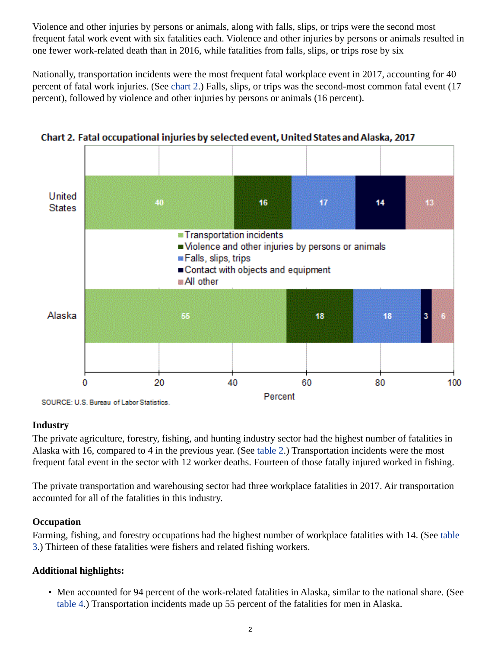Violence and other injuries by persons or animals, along with falls, slips, or trips were the second most frequent fatal work event with six fatalities each. Violence and other injuries by persons or animals resulted in one fewer work-related death than in 2016, while fatalities from falls, slips, or trips rose by six

Nationally, transportation incidents were the most frequent fatal workplace event in 2017, accounting for 40 percent of fatal work injuries. (See [chart 2](#page-1-0).) Falls, slips, or trips was the second-most common fatal event (17 percent), followed by violence and other injuries by persons or animals (16 percent).



<span id="page-1-0"></span>Chart 2. Fatal occupational injuries by selected event, United States and Alaska, 2017

## **Industry**

The private agriculture, forestry, fishing, and hunting industry sector had the highest number of fatalities in Alaska with 16, compared to 4 in the previous year. (See [table 2.](#page-4-0)) Transportation incidents were the most frequent fatal event in the sector with 12 worker deaths. Fourteen of those fatally injured worked in fishing.

The private transportation and warehousing sector had three workplace fatalities in 2017. Air transportation accounted for all of the fatalities in this industry.

## **Occupation**

Farming, fishing, and forestry occupations had the highest number of workplace fatalities with 14. (See table 3.) Thirteen of these fatalities were fishers and related fishing workers.

## **Additional highlights:**

• Men accounted for 94 percent of the work-related fatalities in Alaska, similar to the national share. (See table 4.) Transportation incidents made up 55 percent of the fatalities for men in Alaska.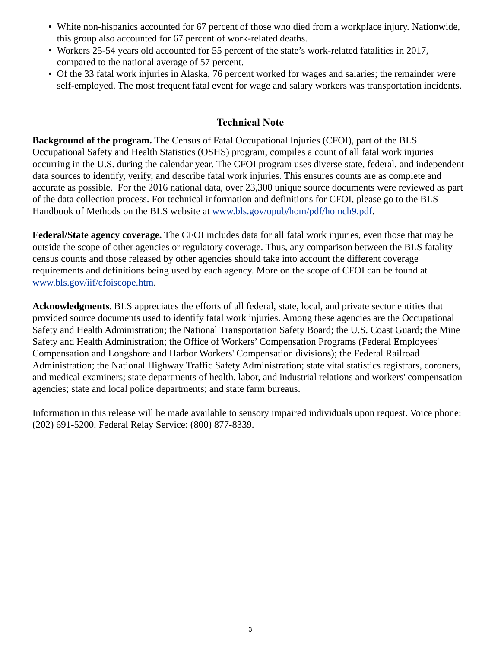- White non-hispanics accounted for 67 percent of those who died from a workplace injury. Nationwide, this group also accounted for 67 percent of work-related deaths.
- Workers 25-54 years old accounted for 55 percent of the state's work-related fatalities in 2017, compared to the national average of 57 percent.
- Of the 33 fatal work injuries in Alaska, 76 percent worked for wages and salaries; the remainder were self-employed. The most frequent fatal event for wage and salary workers was transportation incidents.

## **Technical Note**

**Background of the program.** The Census of Fatal Occupational Injuries (CFOI), part of the BLS Occupational Safety and Health Statistics (OSHS) program, compiles a count of all fatal work injuries occurring in the U.S. during the calendar year. The CFOI program uses diverse state, federal, and independent data sources to identify, verify, and describe fatal work injuries. This ensures counts are as complete and accurate as possible. For the 2016 national data, over 23,300 unique source documents were reviewed as part of the data collection process. For technical information and definitions for CFOI, please go to the BLS Handbook of Methods on the BLS website at [www.bls.gov/opub/hom/pdf/homch9.pdf.](https://www.bls.gov/opub/hom/pdf/homch9.pdf)

**Federal/State agency coverage.** The CFOI includes data for all fatal work injuries, even those that may be outside the scope of other agencies or regulatory coverage. Thus, any comparison between the BLS fatality census counts and those released by other agencies should take into account the different coverage requirements and definitions being used by each agency. More on the scope of CFOI can be found at [www.bls.gov/iif/cfoiscope.htm.](https://www.bls.gov/iif/cfoiscope.htm)

**Acknowledgments.** BLS appreciates the efforts of all federal, state, local, and private sector entities that provided source documents used to identify fatal work injuries. Among these agencies are the Occupational Safety and Health Administration; the National Transportation Safety Board; the U.S. Coast Guard; the Mine Safety and Health Administration; the Office of Workers' Compensation Programs (Federal Employees' Compensation and Longshore and Harbor Workers' Compensation divisions); the Federal Railroad Administration; the National Highway Traffic Safety Administration; state vital statistics registrars, coroners, and medical examiners; state departments of health, labor, and industrial relations and workers' compensation agencies; state and local police departments; and state farm bureaus.

Information in this release will be made available to sensory impaired individuals upon request. Voice phone: (202) 691-5200. Federal Relay Service: (800) 877-8339.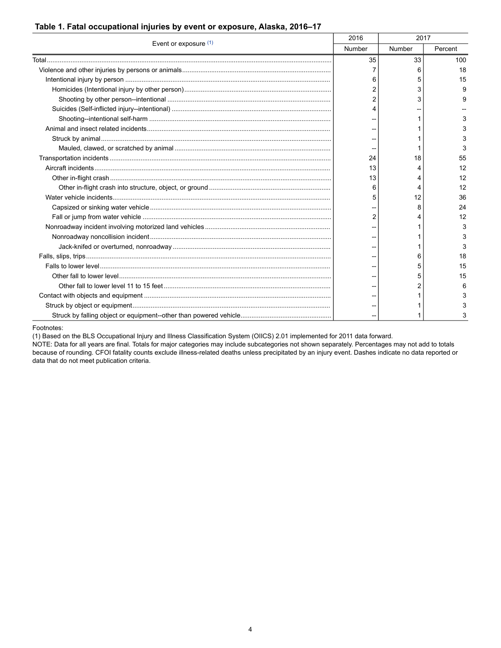#### <span id="page-3-0"></span>**Table 1. Fatal occupational injuries by event or exposure, Alaska, 2016–17**

| Event or exposure (1) | 2016   | 2017   |              |
|-----------------------|--------|--------|--------------|
|                       | Number | Number | Percent      |
|                       | 35     | 33     | 100          |
|                       |        | 6      | 18           |
|                       | 6      | 5      | 15           |
|                       |        | 3      | $\mathbf{Q}$ |
|                       |        | 3      | 9            |
|                       |        |        |              |
|                       |        |        | 3            |
|                       |        |        | 3            |
|                       |        |        |              |
|                       |        |        |              |
|                       | 24     | 18     | 55           |
|                       | 13     |        | 12           |
|                       | 13     |        | 12           |
|                       | 6      | 4      | 12           |
|                       | 5      | 12     | 36           |
|                       |        | 8      | 24           |
|                       | 2      |        | 12           |
|                       |        |        | 3            |
|                       |        |        |              |
|                       |        |        |              |
|                       |        | 6      | 18           |
|                       |        | 5      | 15           |
|                       |        |        | 15           |
|                       |        | 2      | 6            |
|                       |        |        | 3            |
|                       |        |        |              |
|                       |        |        | 3            |

<span id="page-3-1"></span>Footnotes:

(1) Based on the BLS Occupational Injury and Illness Classification System (OIICS) 2.01 implemented for 2011 data forward.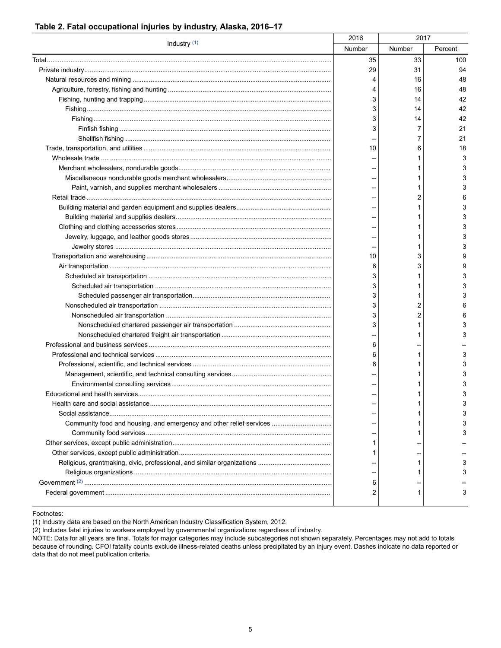<span id="page-4-0"></span>

| Industry (1)                                                        | 2016<br>2017 |        |         |
|---------------------------------------------------------------------|--------------|--------|---------|
|                                                                     | Number       | Number | Percent |
|                                                                     | 35           | 33     | 100     |
|                                                                     | 29           | 31     | 94      |
|                                                                     | 4            | 16     | 48      |
|                                                                     | 4            | 16     | 48      |
|                                                                     | 3            | 14     | 42      |
|                                                                     | 3            | 14     | 42      |
|                                                                     | 3            | 14     | 42      |
|                                                                     | 3            | 7      | 21      |
|                                                                     |              | 7      | 21      |
|                                                                     | 10           | 6      | 18      |
|                                                                     |              |        | 3       |
|                                                                     |              |        | 3       |
|                                                                     |              |        | 3       |
|                                                                     |              |        | 3       |
|                                                                     |              | 2      | 6       |
|                                                                     |              |        | 3       |
|                                                                     |              |        | 3       |
|                                                                     |              |        | 3       |
|                                                                     |              |        | 3       |
|                                                                     |              |        | 3       |
|                                                                     | 10           | 3      | 9       |
|                                                                     | 6            | 3      | 9       |
|                                                                     | 3            |        | 3       |
|                                                                     | 3            |        | 3       |
|                                                                     | 3            |        | 3       |
|                                                                     | 3            | 2      | 6       |
|                                                                     | 3            | 2      | 6       |
|                                                                     | 3            |        | 3       |
|                                                                     |              |        | 3       |
|                                                                     | 6            |        |         |
|                                                                     | 6            |        | 3       |
|                                                                     | 6            |        | 3       |
|                                                                     |              |        | 3       |
|                                                                     |              |        | 3       |
|                                                                     |              |        | 3       |
|                                                                     |              |        | 3       |
| Social assistance                                                   |              |        |         |
| Community food and housing, and emergency and other relief services |              |        |         |
|                                                                     |              |        |         |
|                                                                     |              |        |         |
|                                                                     |              |        |         |
|                                                                     |              |        |         |
|                                                                     |              |        |         |
|                                                                     | 6            |        |         |
|                                                                     | 2            | 1      | 3       |
|                                                                     |              |        |         |

<span id="page-4-1"></span>Footnotes:

(1) Industry data are based on the North American Industry Classification System, 2012.

(2) Includes fatal injuries to workers employed by governmental organizations regardless of industry.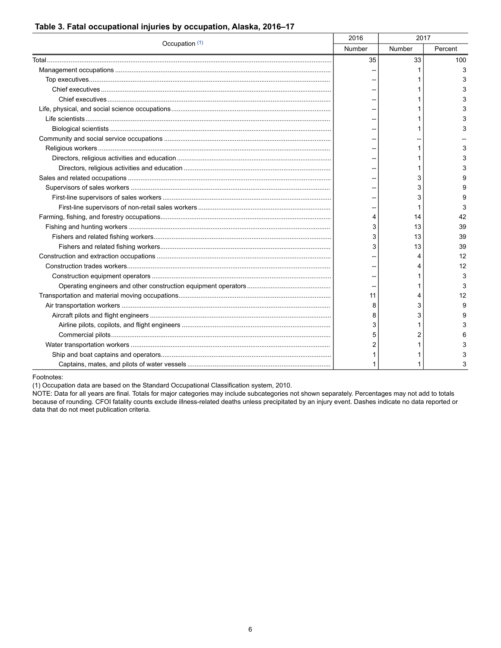| Occupation (1) | 2016   | 2017   |         |
|----------------|--------|--------|---------|
|                | Number | Number | Percent |
|                | 35     | 33     | 100     |
|                |        |        | 3       |
|                |        |        | 3       |
|                |        |        | 3       |
|                |        |        | 3       |
|                |        |        | 3       |
|                |        |        | 3       |
|                |        |        | 3       |
|                |        |        |         |
|                |        |        |         |
|                |        |        |         |
|                |        |        | 3       |
|                |        | 3      | я       |
|                |        | 3      | 9       |
|                |        | 3      | 9       |
|                |        |        | 3       |
|                | 4      | 14     | 42      |
|                | 3      | 13     | 39      |
|                | 3      | 13     | 39      |
|                | 3      | 13     | 39      |
|                |        |        | 12      |
|                |        |        | 12      |
|                |        |        | 3       |
|                |        |        | 3       |
|                | 11     | 4      | 12      |
|                | 8      | 3      | 9       |
|                | 8      | 3      | 9       |
|                | 3      |        | 3       |
|                | 5      |        |         |
|                | 2      |        |         |
|                |        |        |         |
|                |        |        |         |

#### **Table 3. Fatal occupational injuries by occupation, Alaska, 2016–17**

<span id="page-5-0"></span>Footnotes:

(1) Occupation data are based on the Standard Occupational Classification system, 2010.